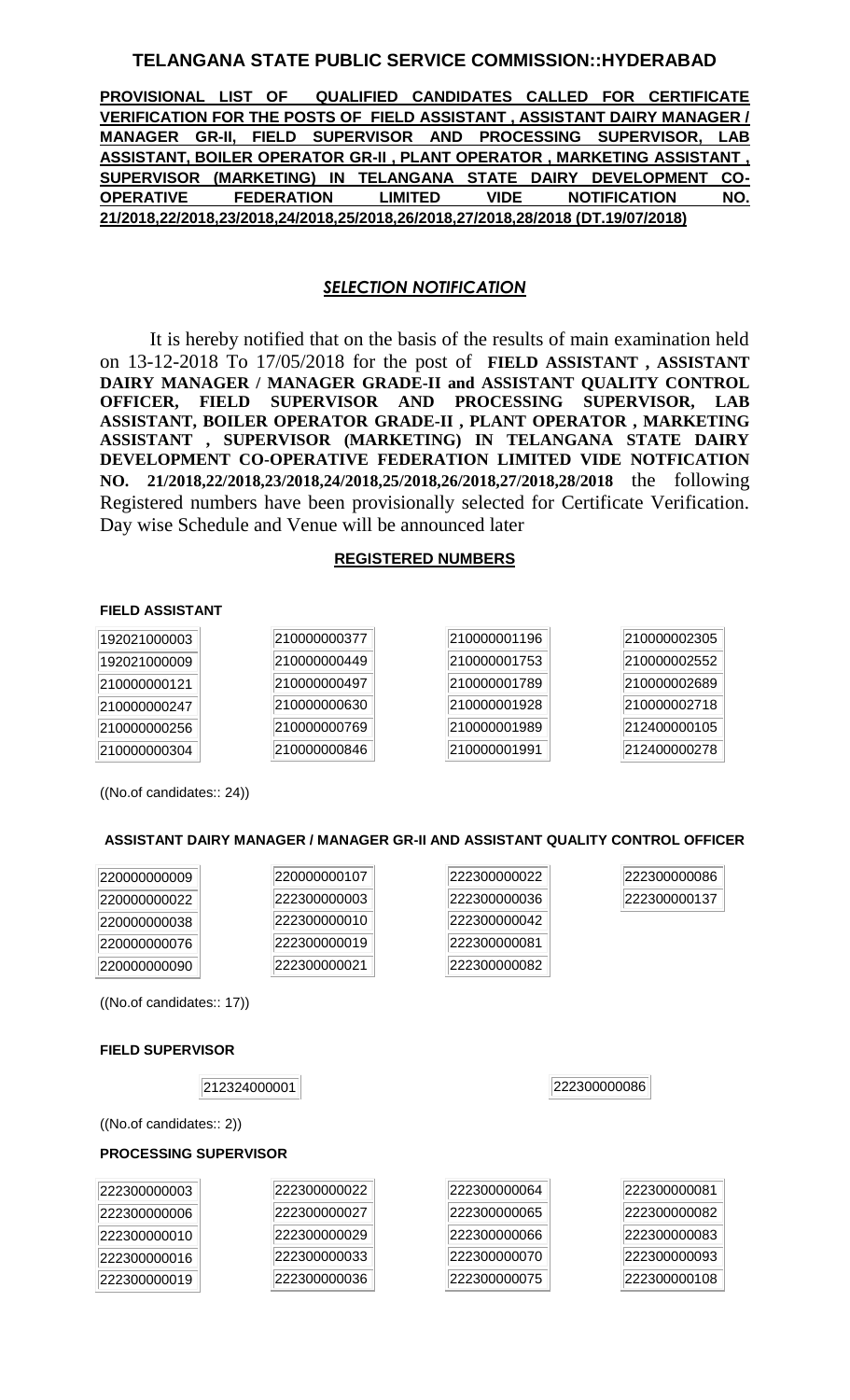## **TELANGANA STATE PUBLIC SERVICE COMMISSION::HYDERABAD**

**PROVISIONAL LIST OF QUALIFIED CANDIDATES CALLED FOR CERTIFICATE VERIFICATION FOR THE POSTS OF FIELD ASSISTANT , ASSISTANT DAIRY MANAGER / MANAGER GR-II, FIELD SUPERVISOR AND PROCESSING SUPERVISOR, LAB ASSISTANT, BOILER OPERATOR GR-II , PLANT OPERATOR , MARKETING ASSISTANT , SUPERVISOR (MARKETING) IN TELANGANA STATE DAIRY DEVELOPMENT CO-OPERATIVE FEDERATION LIMITED VIDE NOTIFICATION NO. 21/2018,22/2018,23/2018,24/2018,25/2018,26/2018,27/2018,28/2018 (DT.19/07/2018)**

## *SELECTION NOTIFICATION*

It is hereby notified that on the basis of the results of main examination held on 13-12-2018 To 17/05/2018 for the post of **FIELD ASSISTANT , ASSISTANT DAIRY MANAGER / MANAGER GRADE-II and ASSISTANT QUALITY CONTROL OFFICER, FIELD SUPERVISOR AND PROCESSING SUPERVISOR, LAB ASSISTANT, BOILER OPERATOR GRADE-II , PLANT OPERATOR , MARKETING ASSISTANT , SUPERVISOR (MARKETING) IN TELANGANA STATE DAIRY DEVELOPMENT CO-OPERATIVE FEDERATION LIMITED VIDE NOTFICATION NO. 21/2018,22/2018,23/2018,24/2018,25/2018,26/2018,27/2018,28/2018** the following Registered numbers have been provisionally selected for Certificate Verification. Day wise Schedule and Venue will be announced later

### **REGISTERED NUMBERS**

#### **FIELD ASSISTANT**

| 192021000003 | 210000000377 | 210000001196 | 210000002305 |
|--------------|--------------|--------------|--------------|
| 192021000009 | 210000000449 | 210000001753 | 210000002552 |
| 210000000121 | 210000000497 | 210000001789 | 210000002689 |
| 210000000247 | 210000000630 | 210000001928 | 210000002718 |
| 210000000256 | 210000000769 | 210000001989 | 212400000105 |
| 210000000304 | 210000000846 | 210000001991 | 212400000278 |

((No.of candidates:: 24))

### **ASSISTANT DAIRY MANAGER / MANAGER GR-II AND ASSISTANT QUALITY CONTROL OFFICER**

| 220000000009 | 220000000107 | 222300000022 | 222300000086 |
|--------------|--------------|--------------|--------------|
| 220000000022 | 222300000003 | 222300000036 | 222300000137 |
| 220000000038 | 222300000010 | 222300000042 |              |
| 220000000076 | 222300000019 | 222300000081 |              |
| 220000000090 | 222300000021 | 222300000082 |              |

((No.of candidates:: 17))

### **FIELD SUPERVISOR**

222300000086

((No.of candidates:: 2))

#### **PROCESSING SUPERVISOR**

| 222300000003 | 222300000022 | 222300000064 | 222300000081 |
|--------------|--------------|--------------|--------------|
| 222300000006 | 222300000027 | 222300000065 | 222300000082 |
| 222300000010 | 222300000029 | 222300000066 | 222300000083 |
| 222300000016 | 222300000033 | 222300000070 | 222300000093 |
| 222300000019 | 222300000036 | 222300000075 | 222300000108 |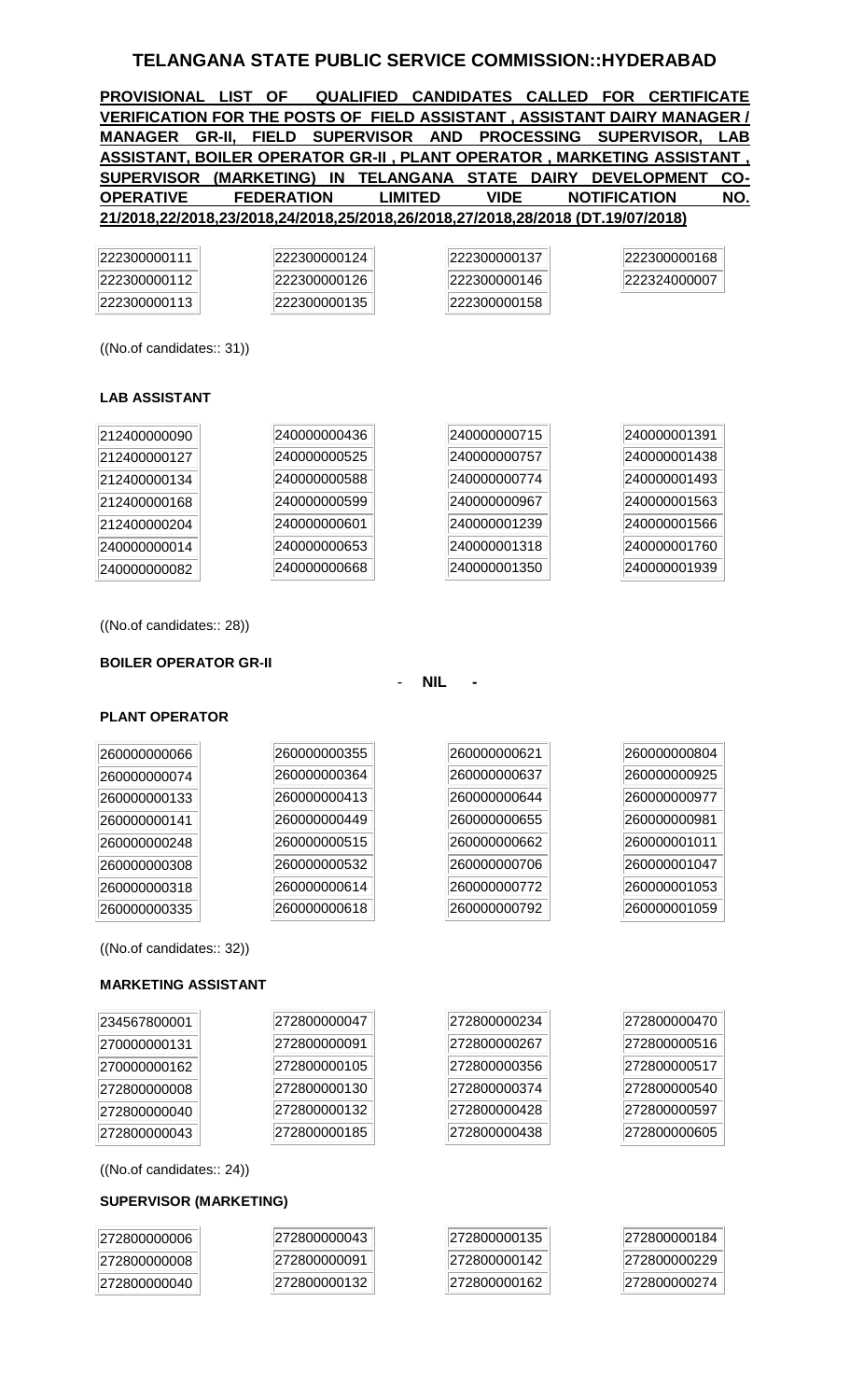## **TELANGANA STATE PUBLIC SERVICE COMMISSION::HYDERABAD**

**PROVISIONAL LIST OF QUALIFIED CANDIDATES CALLED FOR CERTIFICATE VERIFICATION FOR THE POSTS OF FIELD ASSISTANT , ASSISTANT DAIRY MANAGER / MANAGER GR-II, FIELD SUPERVISOR AND PROCESSING SUPERVISOR, LAB ASSISTANT, BOILER OPERATOR GR-II , PLANT OPERATOR , MARKETING ASSISTANT , SUPERVISOR (MARKETING) IN TELANGANA STATE DAIRY DEVELOPMENT CO-OPERATIVE FEDERATION LIMITED VIDE NOTIFICATION NO. 21/2018,22/2018,23/2018,24/2018,25/2018,26/2018,27/2018,28/2018 (DT.19/07/2018)**

| 222300000111 | 222300000124 | 222300000137 | 222300000168 |
|--------------|--------------|--------------|--------------|
| 222300000112 | 222300000126 | 222300000146 | 222324000007 |
| 222300000113 | 222300000135 | 222300000158 |              |

((No.of candidates:: 31))

### **LAB ASSISTANT**

| 212400000090 | 240000000436 | 240000000715 | 240000001391 |
|--------------|--------------|--------------|--------------|
| 212400000127 | 240000000525 | 240000000757 | 240000001438 |
| 212400000134 | 240000000588 | 240000000774 | 240000001493 |
| 212400000168 | 240000000599 | 240000000967 | 240000001563 |
| 212400000204 | 240000000601 | 240000001239 | 240000001566 |
| 240000000014 | 240000000653 | 240000001318 | 240000001760 |
| 240000000082 | 240000000668 | 240000001350 | 240000001939 |

((No.of candidates:: 28))

#### **BOILER OPERATOR GR-II**

- **NIL -**

### **PLANT OPERATOR**

| 260000000355<br>260000000621<br> 260000000066<br>260000000364<br>260000000637<br>260000000074<br>260000000413<br>260000000644<br>260000000133<br>260000000449<br>260000000655<br> 260000000141 |              |
|------------------------------------------------------------------------------------------------------------------------------------------------------------------------------------------------|--------------|
|                                                                                                                                                                                                | 260000000804 |
|                                                                                                                                                                                                | 260000000925 |
|                                                                                                                                                                                                | 260000000977 |
|                                                                                                                                                                                                | 260000000981 |
| 260000000515<br>260000000662<br>260000000248                                                                                                                                                   | 260000001011 |
| 260000000532<br>260000000706<br>260000000308                                                                                                                                                   | 260000001047 |
| 260000000614<br>260000000772<br>260000000318                                                                                                                                                   | 260000001053 |
| 260000000618<br>260000000792<br>260000000335                                                                                                                                                   | 260000001059 |

((No.of candidates:: 32))

### **MARKETING ASSISTANT**

| 234567800001 | 272800000047 | 272800000234 | 272800000470 |
|--------------|--------------|--------------|--------------|
| 270000000131 | 272800000091 | 272800000267 | 272800000516 |
| 270000000162 | 272800000105 | 272800000356 | 272800000517 |
| 272800000008 | 272800000130 | 272800000374 | 272800000540 |
| 272800000040 | 272800000132 | 272800000428 | 272800000597 |
| 272800000043 | 272800000185 | 272800000438 | 272800000605 |

((No.of candidates:: 24))

### **SUPERVISOR (MARKETING)**

| 272800000006 | 1272800000043 | 272800000135 | 272800000184 |
|--------------|---------------|--------------|--------------|
| 272800000008 | 272800000091  | 272800000142 | 272800000229 |
| 272800000040 | 1272800000132 | 272800000162 | 272800000274 |